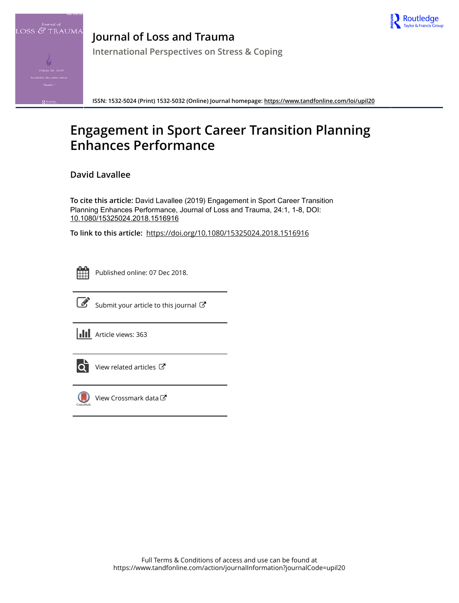



**Journal of Loss and Trauma International Perspectives on Stress & Coping**

**ISSN: 1532-5024 (Print) 1532-5032 (Online) Journal homepage:<https://www.tandfonline.com/loi/upil20>**

# **Engagement in Sport Career Transition Planning Enhances Performance**

**David Lavallee**

**To cite this article:** David Lavallee (2019) Engagement in Sport Career Transition Planning Enhances Performance, Journal of Loss and Trauma, 24:1, 1-8, DOI: [10.1080/15325024.2018.1516916](https://www.tandfonline.com/action/showCitFormats?doi=10.1080/15325024.2018.1516916)

**To link to this article:** <https://doi.org/10.1080/15325024.2018.1516916>

|  | - |  |
|--|---|--|
|  |   |  |
|  |   |  |
|  |   |  |

Published online: 07 Dec 2018.



 $\overrightarrow{S}$  [Submit your article to this journal](https://www.tandfonline.com/action/authorSubmission?journalCode=upil20&show=instructions)  $\overrightarrow{S}$ 

 $\frac{1}{\sqrt{2}}$  Article views: 363



 $\overline{Q}$  [View related articles](https://www.tandfonline.com/doi/mlt/10.1080/15325024.2018.1516916)  $\overline{C}$ 



[View Crossmark data](http://crossmark.crossref.org/dialog/?doi=10.1080/15325024.2018.1516916&domain=pdf&date_stamp=2018-12-07)  $\sigma$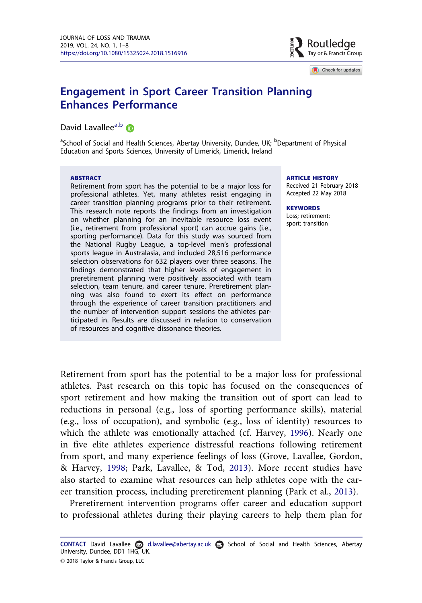

Check for updates

# <span id="page-1-0"></span>Engagement in Sport Career Transition Planning Enhances Performance

David Lavallee<sup>a,b</sup>

<sup>a</sup>School of Social and Health Sciences, Abertay University, Dundee, UK: <sup>b</sup>Department of Physical Education and Sports Sciences, University of Limerick, Limerick, Ireland

#### ABSTRACT

Retirement from sport has the potential to be a major loss for professional athletes. Yet, many athletes resist engaging in career transition planning programs prior to their retirement. This research note reports the findings from an investigation on whether planning for an inevitable resource loss event (i.e., retirement from professional sport) can accrue gains (i.e., sporting performance). Data for this study was sourced from the National Rugby League, a top-level men's professional sports league in Australasia, and included 28,516 performance selection observations for 632 players over three seasons. The findings demonstrated that higher levels of engagement in preretirement planning were positively associated with team selection, team tenure, and career tenure. Preretirement planning was also found to exert its effect on performance through the experience of career transition practitioners and the number of intervention support sessions the athletes participated in. Results are discussed in relation to conservation of resources and cognitive dissonance theories.

ARTICLE HISTORY

Received 21 February 2018 Accepted 22 May 2018

**KEYWORDS** Loss; retirement; sport; transition

Retirement from sport has the potential to be a major loss for professional athletes. Past research on this topic has focused on the consequences of sport retirement and how making the transition out of sport can lead to reductions in personal (e.g., loss of sporting performance skills), material (e.g., loss of occupation), and symbolic (e.g., loss of identity) resources to which the athlete was emotionally attached (cf. Harvey, [1996](#page-7-0)). Nearly one in five elite athletes experience distressful reactions following retirement from sport, and many experience feelings of loss (Grove, Lavallee, Gordon, & Harvey, [1998;](#page-7-0) Park, Lavallee, & Tod, [2013](#page-8-0)). More recent studies have also started to examine what resources can help athletes cope with the career transition process, including preretirement planning (Park et al., [2013](#page-8-0)).

Preretirement intervention programs offer career and education support to professional athletes during their playing careers to help them plan for

CONTACT David Lavallee al.lavallee@abertay.ac.uk sole School of Social and Health Sciences, Abertay University, Dundee, DD1 1HG, UK.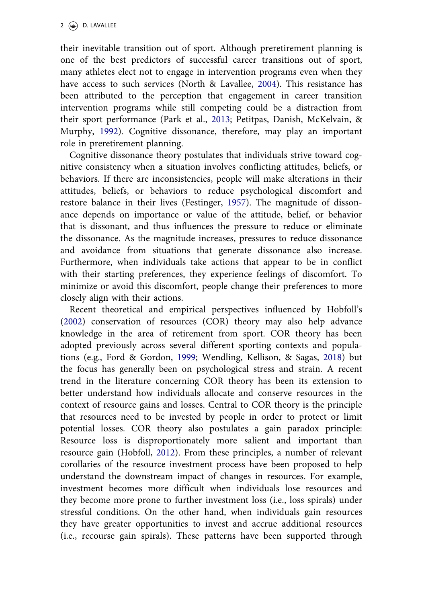<span id="page-2-0"></span>their inevitable transition out of sport. Although preretirement planning is one of the best predictors of successful career transitions out of sport, many athletes elect not to engage in intervention programs even when they have access to such services (North & Lavallee, [2004\)](#page-7-0). This resistance has been attributed to the perception that engagement in career transition intervention programs while still competing could be a distraction from their sport performance (Park et al., [2013;](#page-8-0) Petitpas, Danish, McKelvain, & Murphy, [1992](#page-8-0)). Cognitive dissonance, therefore, may play an important role in preretirement planning.

Cognitive dissonance theory postulates that individuals strive toward cognitive consistency when a situation involves conflicting attitudes, beliefs, or behaviors. If there are inconsistencies, people will make alterations in their attitudes, beliefs, or behaviors to reduce psychological discomfort and restore balance in their lives (Festinger, [1957\)](#page-7-0). The magnitude of dissonance depends on importance or value of the attitude, belief, or behavior that is dissonant, and thus influences the pressure to reduce or eliminate the dissonance. As the magnitude increases, pressures to reduce dissonance and avoidance from situations that generate dissonance also increase. Furthermore, when individuals take actions that appear to be in conflict with their starting preferences, they experience feelings of discomfort. To minimize or avoid this discomfort, people change their preferences to more closely align with their actions.

Recent theoretical and empirical perspectives influenced by Hobfoll's ([2002](#page-7-0)) conservation of resources (COR) theory may also help advance knowledge in the area of retirement from sport. COR theory has been adopted previously across several different sporting contexts and populations (e.g., Ford & Gordon, [1999;](#page-7-0) Wendling, Kellison, & Sagas, [2018](#page-8-0)) but the focus has generally been on psychological stress and strain. A recent trend in the literature concerning COR theory has been its extension to better understand how individuals allocate and conserve resources in the context of resource gains and losses. Central to COR theory is the principle that resources need to be invested by people in order to protect or limit potential losses. COR theory also postulates a gain paradox principle: Resource loss is disproportionately more salient and important than resource gain (Hobfoll, [2012\)](#page-7-0). From these principles, a number of relevant corollaries of the resource investment process have been proposed to help understand the downstream impact of changes in resources. For example, investment becomes more difficult when individuals lose resources and they become more prone to further investment loss (i.e., loss spirals) under stressful conditions. On the other hand, when individuals gain resources they have greater opportunities to invest and accrue additional resources (i.e., recourse gain spirals). These patterns have been supported through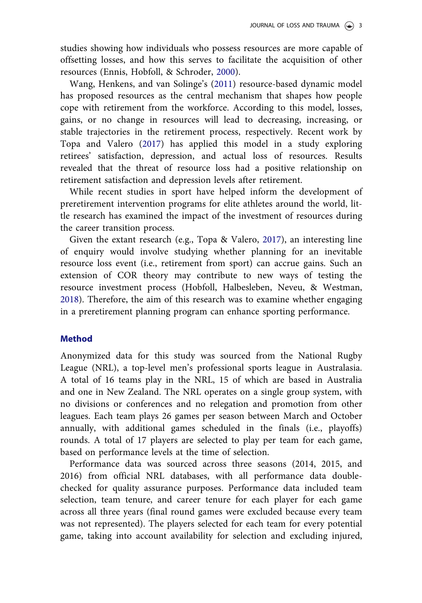<span id="page-3-0"></span>studies showing how individuals who possess resources are more capable of offsetting losses, and how this serves to facilitate the acquisition of other resources (Ennis, Hobfoll, & Schroder, [2000\)](#page-7-0).

Wang, Henkens, and van Solinge's ([2011\)](#page-8-0) resource-based dynamic model has proposed resources as the central mechanism that shapes how people cope with retirement from the workforce. According to this model, losses, gains, or no change in resources will lead to decreasing, increasing, or stable trajectories in the retirement process, respectively. Recent work by Topa and Valero ([2017](#page-8-0)) has applied this model in a study exploring retirees' satisfaction, depression, and actual loss of resources. Results revealed that the threat of resource loss had a positive relationship on retirement satisfaction and depression levels after retirement.

While recent studies in sport have helped inform the development of preretirement intervention programs for elite athletes around the world, little research has examined the impact of the investment of resources during the career transition process.

Given the extant research (e.g., Topa & Valero, [2017\)](#page-8-0), an interesting line of enquiry would involve studying whether planning for an inevitable resource loss event (i.e., retirement from sport) can accrue gains. Such an extension of COR theory may contribute to new ways of testing the resource investment process (Hobfoll, Halbesleben, Neveu, & Westman, [2018](#page-7-0)). Therefore, the aim of this research was to examine whether engaging in a preretirement planning program can enhance sporting performance.

## Method

Anonymized data for this study was sourced from the National Rugby League (NRL), a top-level men's professional sports league in Australasia. A total of 16 teams play in the NRL, 15 of which are based in Australia and one in New Zealand. The NRL operates on a single group system, with no divisions or conferences and no relegation and promotion from other leagues. Each team plays 26 games per season between March and October annually, with additional games scheduled in the finals (i.e., playoffs) rounds. A total of 17 players are selected to play per team for each game, based on performance levels at the time of selection.

Performance data was sourced across three seasons (2014, 2015, and 2016) from official NRL databases, with all performance data doublechecked for quality assurance purposes. Performance data included team selection, team tenure, and career tenure for each player for each game across all three years (final round games were excluded because every team was not represented). The players selected for each team for every potential game, taking into account availability for selection and excluding injured,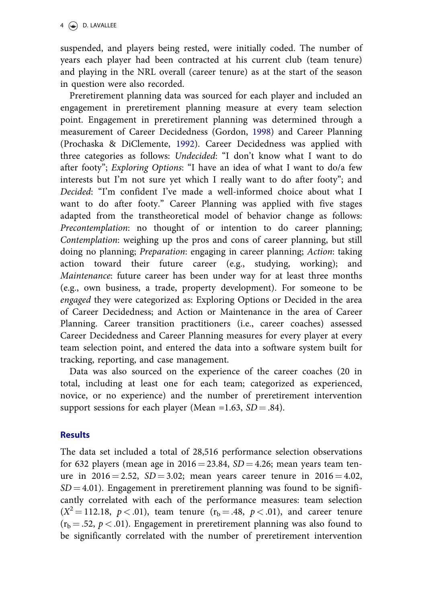<span id="page-4-0"></span>suspended, and players being rested, were initially coded. The number of years each player had been contracted at his current club (team tenure) and playing in the NRL overall (career tenure) as at the start of the season in question were also recorded.

Preretirement planning data was sourced for each player and included an engagement in preretirement planning measure at every team selection point. Engagement in preretirement planning was determined through a measurement of Career Decidedness (Gordon, [1998](#page-7-0)) and Career Planning (Prochaska & DiClemente, [1992](#page-8-0)). Career Decidedness was applied with three categories as follows: Undecided: "I don't know what I want to do after footy"; Exploring Options: "I have an idea of what I want to do/a few interests but I'm not sure yet which I really want to do after footy"; and Decided: "I'm confident I've made a well-informed choice about what I want to do after footy." Career Planning was applied with five stages adapted from the transtheoretical model of behavior change as follows: Precontemplation: no thought of or intention to do career planning; Contemplation: weighing up the pros and cons of career planning, but still doing no planning; Preparation: engaging in career planning; Action: taking action toward their future career (e.g., studying, working); and Maintenance: future career has been under way for at least three months (e.g., own business, a trade, property development). For someone to be engaged they were categorized as: Exploring Options or Decided in the area of Career Decidedness; and Action or Maintenance in the area of Career Planning. Career transition practitioners (i.e., career coaches) assessed Career Decidedness and Career Planning measures for every player at every team selection point, and entered the data into a software system built for tracking, reporting, and case management.

Data was also sourced on the experience of the career coaches (20 in total, including at least one for each team; categorized as experienced, novice, or no experience) and the number of preretirement intervention support sessions for each player (Mean =1.63,  $SD = .84$ ).

# **Results**

The data set included a total of 28,516 performance selection observations for 632 players (mean age in  $2016 = 23.84$ ,  $SD = 4.26$ ; mean years team tenure in  $2016 = 2.52$ ,  $SD = 3.02$ ; mean years career tenure in  $2016 = 4.02$ ,  $SD = 4.01$ ). Engagement in preretirement planning was found to be significantly correlated with each of the performance measures: team selection  $(X^2 = 112.18, p < .01)$ , team tenure  $(r_b = .48, p < .01)$ , and career tenure  $(r_b = .52, p < .01)$ . Engagement in preretirement planning was also found to be significantly correlated with the number of preretirement intervention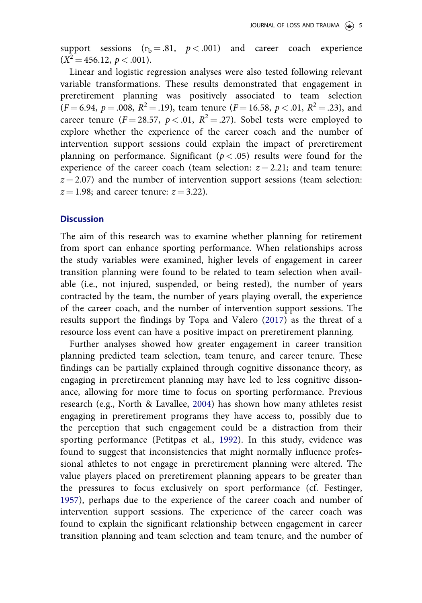support sessions  $(r_b = .81, p < .001)$  and career coach experience  $(X^2 = 456.12, p < .001)$ .

Linear and logistic regression analyses were also tested following relevant variable transformations. These results demonstrated that engagement in preretirement planning was positively associated to team selection  $(F = 6.94, p = .008, R^2 = .19)$ , team tenure  $(F = 16.58, p < .01, R^2 = .23)$ , and career tenure ( $F = 28.57$ ,  $p < .01$ ,  $R^2 = .27$ ). Sobel tests were employed to explore whether the experience of the career coach and the number of intervention support sessions could explain the impact of preretirement planning on performance. Significant ( $p < .05$ ) results were found for the experience of the career coach (team selection:  $z = 2.21$ ; and team tenure:  $z = 2.07$ ) and the number of intervention support sessions (team selection:  $z = 1.98$ ; and career tenure:  $z = 3.22$ ).

# **Discussion**

The aim of this research was to examine whether planning for retirement from sport can enhance sporting performance. When relationships across the study variables were examined, higher levels of engagement in career transition planning were found to be related to team selection when available (i.e., not injured, suspended, or being rested), the number of years contracted by the team, the number of years playing overall, the experience of the career coach, and the number of intervention support sessions. The results support the findings by Topa and Valero ([2017\)](#page-8-0) as the threat of a resource loss event can have a positive impact on preretirement planning.

Further analyses showed how greater engagement in career transition planning predicted team selection, team tenure, and career tenure. These findings can be partially explained through cognitive dissonance theory, as engaging in preretirement planning may have led to less cognitive dissonance, allowing for more time to focus on sporting performance. Previous research (e.g., North & Lavallee, [2004](#page-7-0)) has shown how many athletes resist engaging in preretirement programs they have access to, possibly due to the perception that such engagement could be a distraction from their sporting performance (Petitpas et al., [1992\)](#page-8-0). In this study, evidence was found to suggest that inconsistencies that might normally influence professional athletes to not engage in preretirement planning were altered. The value players placed on preretirement planning appears to be greater than the pressures to focus exclusively on sport performance (cf. Festinger, [1957](#page-7-0)), perhaps due to the experience of the career coach and number of intervention support sessions. The experience of the career coach was found to explain the significant relationship between engagement in career transition planning and team selection and team tenure, and the number of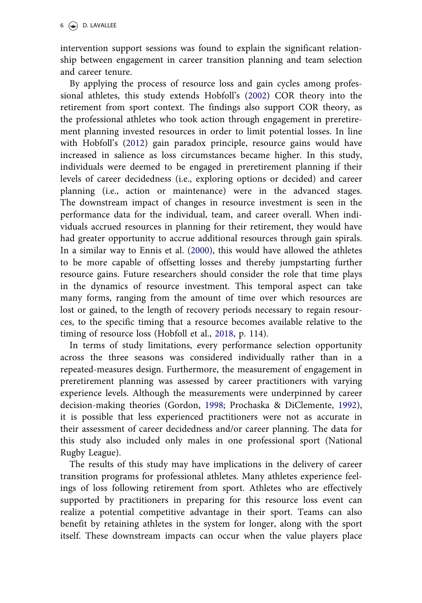intervention support sessions was found to explain the significant relationship between engagement in career transition planning and team selection and career tenure.

By applying the process of resource loss and gain cycles among professional athletes, this study extends Hobfoll's [\(2002](#page-7-0)) COR theory into the retirement from sport context. The findings also support COR theory, as the professional athletes who took action through engagement in preretirement planning invested resources in order to limit potential losses. In line with Hobfoll's ([2012\)](#page-7-0) gain paradox principle, resource gains would have increased in salience as loss circumstances became higher. In this study, individuals were deemed to be engaged in preretirement planning if their levels of career decidedness (i.e., exploring options or decided) and career planning (i.e., action or maintenance) were in the advanced stages. The downstream impact of changes in resource investment is seen in the performance data for the individual, team, and career overall. When individuals accrued resources in planning for their retirement, they would have had greater opportunity to accrue additional resources through gain spirals. In a similar way to Ennis et al. ([2000\)](#page-7-0), this would have allowed the athletes to be more capable of offsetting losses and thereby jumpstarting further resource gains. Future researchers should consider the role that time plays in the dynamics of resource investment. This temporal aspect can take many forms, ranging from the amount of time over which resources are lost or gained, to the length of recovery periods necessary to regain resources, to the specific timing that a resource becomes available relative to the timing of resource loss (Hobfoll et al., [2018,](#page-7-0) p. 114).

In terms of study limitations, every performance selection opportunity across the three seasons was considered individually rather than in a repeated-measures design. Furthermore, the measurement of engagement in preretirement planning was assessed by career practitioners with varying experience levels. Although the measurements were underpinned by career decision-making theories (Gordon, [1998;](#page-7-0) Prochaska & DiClemente, [1992\)](#page-8-0), it is possible that less experienced practitioners were not as accurate in their assessment of career decidedness and/or career planning. The data for this study also included only males in one professional sport (National Rugby League).

The results of this study may have implications in the delivery of career transition programs for professional athletes. Many athletes experience feelings of loss following retirement from sport. Athletes who are effectively supported by practitioners in preparing for this resource loss event can realize a potential competitive advantage in their sport. Teams can also benefit by retaining athletes in the system for longer, along with the sport itself. These downstream impacts can occur when the value players place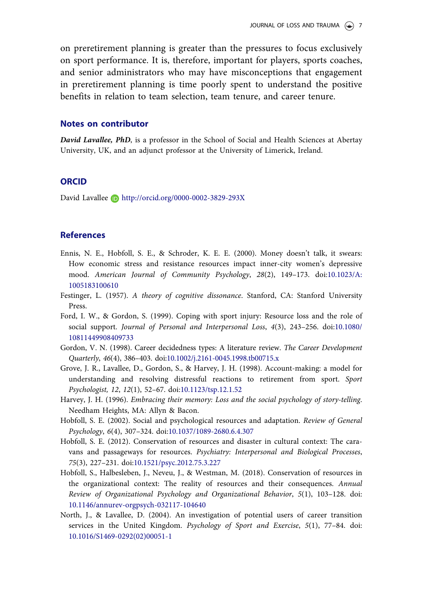<span id="page-7-0"></span>on preretirement planning is greater than the pressures to focus exclusively on sport performance. It is, therefore, important for players, sports coaches, and senior administrators who may have misconceptions that engagement in preretirement planning is time poorly spent to understand the positive benefits in relation to team selection, team tenure, and career tenure.

### Notes on contributor

David Lavallee, PhD, is a professor in the School of Social and Health Sciences at Abertay University, UK, and an adjunct professor at the University of Limerick, Ireland.

## **ORCID**

David Lavallee http://orcid.org/0000-0002-3829-293X

## **References**

- Ennis, N. E., Hobfoll, S. E., & Schroder, K. E. E. ([2000\)](#page-3-0). Money doesn't talk, it swears: How economic stress and resistance resources impact inner-city women's depressive mood. American Journal of Community Psychology, 28(2), 149–173. doi[:10.1023/A:](https://doi.org/10.1023/A:1005183100610) [1005183100610](https://doi.org/10.1023/A:1005183100610)
- Festinger, L. ([1957\)](#page-2-0). A theory of cognitive dissonance. Stanford, CA: Stanford University Press.
- Ford, I. W., & Gordon, S. [\(1999](#page-2-0)). Coping with sport injury: Resource loss and the role of social support. Journal of Personal and Interpersonal Loss, 4(3), 243–256. doi:[10.1080/](https://doi.org/10.1080/10811449908409733) [10811449908409733](https://doi.org/10.1080/10811449908409733)
- Gordon, V. N. [\(1998](#page-4-0)). Career decidedness types: A literature review. The Career Development Quarterly, 46(4), 386–403. doi[:10.1002/j.2161-0045.1998.tb00715.x](https://doi.org/10.1002/j.2161-0045.1998.tb00715.x)
- Grove, J. R., Lavallee, D., Gordon, S., & Harvey, J. H. [\(1998\)](#page-1-0). Account-making: a model for understanding and resolving distressful reactions to retirement from sport. Sport Psychologist, 12, 12(1), 52–67. doi:[10.1123/tsp.12.1.52](https://doi.org/10.1123/tsp.12.1.52)
- Harvey, J. H. [\(1996\)](#page-1-0). Embracing their memory: Loss and the social psychology of story-telling. Needham Heights, MA: Allyn & Bacon.
- Hobfoll, S. E. ([2002\)](#page-2-0). Social and psychological resources and adaptation. Review of General Psychology, 6(4), 307–324. doi[:10.1037/1089-2680.6.4.307](https://doi.org/10.1037/1089-2680.6.4.307)
- Hobfoll, S. E. ([2012](#page-2-0)). Conservation of resources and disaster in cultural context: The caravans and passageways for resources. Psychiatry: Interpersonal and Biological Processes, 75(3), 227–231. doi:[10.1521/psyc.2012.75.3.227](https://doi.org/10.1521/psyc.2012.75.3.227)
- Hobfoll, S., Halbesleben, J., Neveu, J., & Westman, M. ([2018\)](#page-3-0). Conservation of resources in the organizational context: The reality of resources and their consequences. Annual Review of Organizational Psychology and Organizational Behavior, 5(1), 103–128. doi: [10.1146/annurev-orgpsych-032117-104640](https://doi.org/10.1146/annurev-orgpsych-032117-104640)
- North, J., & Lavallee, D. ([2004\)](#page-2-0). An investigation of potential users of career transition services in the United Kingdom. Psychology of Sport and Exercise, 5(1), 77–84. doi: [10.1016/S1469-0292\(02\)00051-1](https://doi.org/10.1016/S1469-0292(02)00051-1)